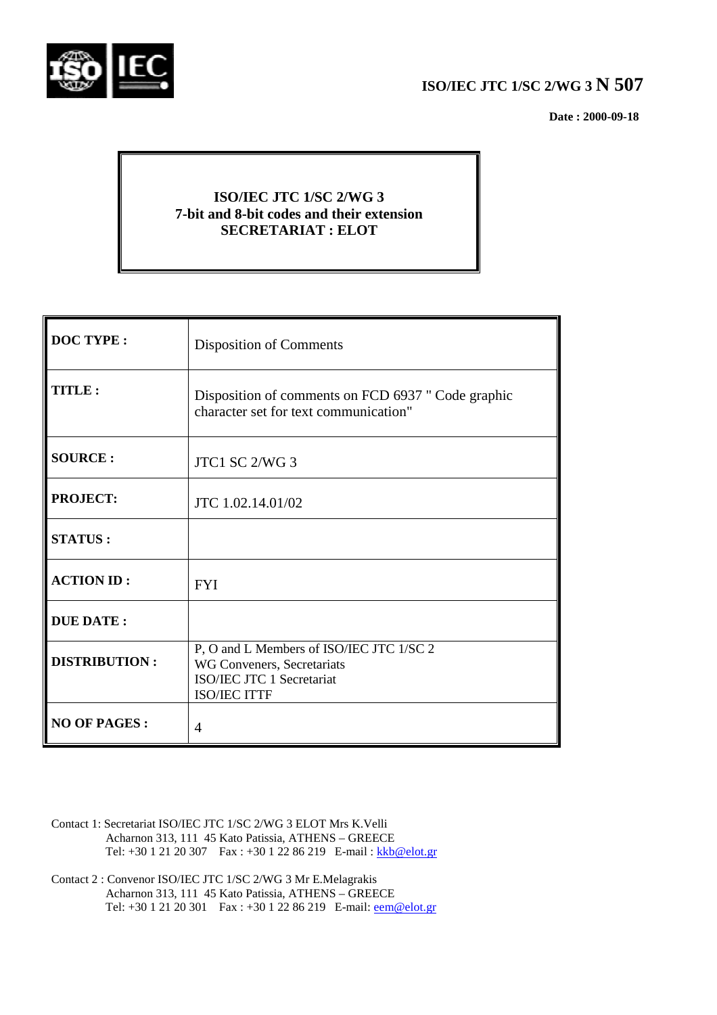

# **ISO/IEC JTC 1/SC 2/WG 3 N 507**

 **Date : 2000-09-18**

# **ISO/IEC JTC 1/SC 2/WG 3 7-bit and 8-bit codes and their extension SECRETARIAT : ELOT**

| <b>DOC TYPE:</b>     | <b>Disposition of Comments</b>                                                                                             |
|----------------------|----------------------------------------------------------------------------------------------------------------------------|
| <b>TITLE:</b>        | Disposition of comments on FCD 6937 " Code graphic<br>character set for text communication"                                |
| <b>SOURCE:</b>       | JTC1 SC 2/WG 3                                                                                                             |
| <b>PROJECT:</b>      | JTC 1.02.14.01/02                                                                                                          |
| <b>STATUS:</b>       |                                                                                                                            |
| <b>ACTION ID:</b>    | <b>FYI</b>                                                                                                                 |
| <b>DUE DATE:</b>     |                                                                                                                            |
| <b>DISTRIBUTION:</b> | P, O and L Members of ISO/IEC JTC 1/SC 2<br>WG Conveners, Secretariats<br>ISO/IEC JTC 1 Secretariat<br><b>ISO/IEC ITTF</b> |
| <b>NO OF PAGES:</b>  | 4                                                                                                                          |

- Contact 1: Secretariat ISO/IEC JTC 1/SC 2/WG 3 ELOT Mrs K.Velli Acharnon 313, 111 45 Kato Patissia, ATHENS – GREECE Tel: +30 1 21 20 307 Fax : +30 1 22 86 219 E-mail : kkb@elot.gr
- Contact 2 : Convenor ISO/IEC JTC 1/SC 2/WG 3 Mr E.Melagrakis Acharnon 313, 111 45 Kato Patissia, ATHENS – GREECE Tel: +30 1 21 20 301 Fax : +30 1 22 86 219 E-mail: <u>eem@elot.gr</u>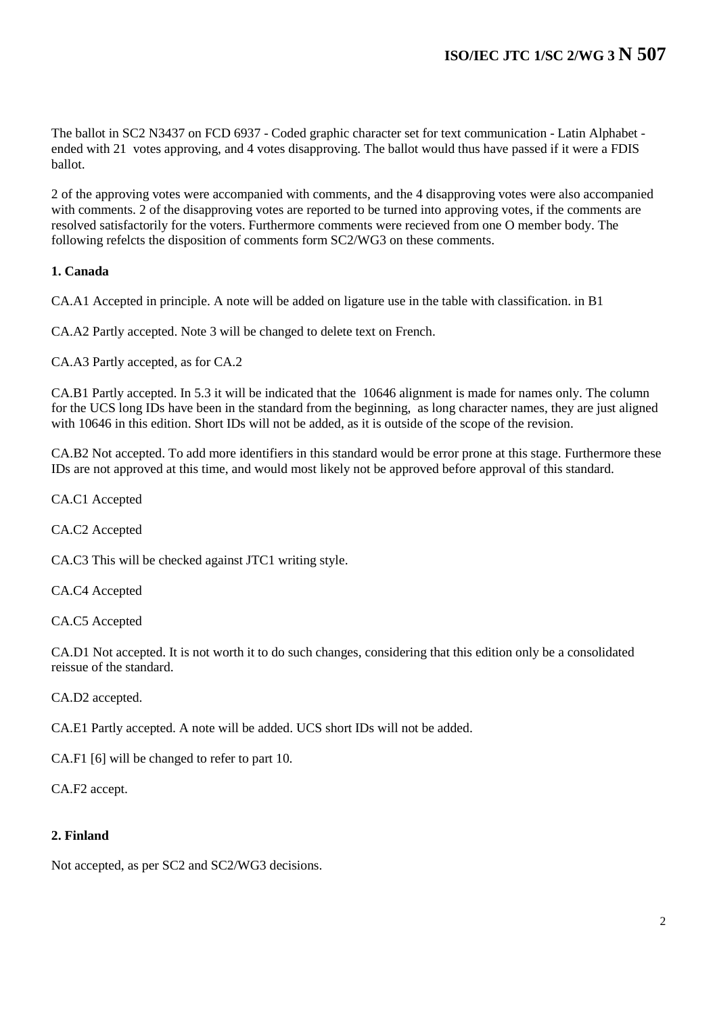The ballot in SC2 N3437 on FCD 6937 - Coded graphic character set for text communication - Latin Alphabet ended with 21 votes approving, and 4 votes disapproving. The ballot would thus have passed if it were a FDIS ballot.

2 of the approving votes were accompanied with comments, and the 4 disapproving votes were also accompanied with comments. 2 of the disapproving votes are reported to be turned into approving votes, if the comments are resolved satisfactorily for the voters. Furthermore comments were recieved from one O member body. The following refelcts the disposition of comments form SC2/WG3 on these comments.

# **1. Canada**

CA.A1 Accepted in principle. A note will be added on ligature use in the table with classification. in B1

CA.A2 Partly accepted. Note 3 will be changed to delete text on French.

CA.A3 Partly accepted, as for CA.2

CA.B1 Partly accepted. In 5.3 it will be indicated that the 10646 alignment is made for names only. The column for the UCS long IDs have been in the standard from the beginning, as long character names, they are just aligned with 10646 in this edition. Short IDs will not be added, as it is outside of the scope of the revision.

CA.B2 Not accepted. To add more identifiers in this standard would be error prone at this stage. Furthermore these IDs are not approved at this time, and would most likely not be approved before approval of this standard.

CA.C1 Accepted

CA.C2 Accepted

CA.C3 This will be checked against JTC1 writing style.

CA.C4 Accepted

CA.C5 Accepted

CA.D1 Not accepted. It is not worth it to do such changes, considering that this edition only be a consolidated reissue of the standard.

CA.D2 accepted.

CA.E1 Partly accepted. A note will be added. UCS short IDs will not be added.

CA.F1 [6] will be changed to refer to part 10.

CA.F2 accept.

#### **2. Finland**

Not accepted, as per SC2 and SC2/WG3 decisions.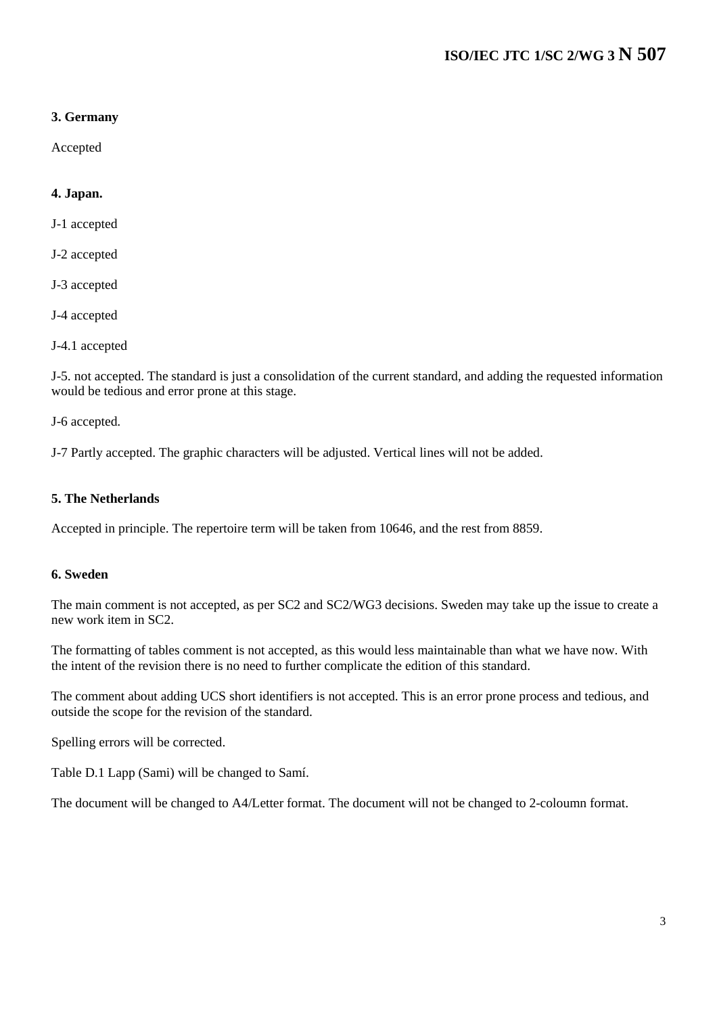# **3. Germany**

Accepted

# **4. Japan.**

J-1 accepted

- J-2 accepted
- J-3 accepted
- J-4 accepted
- J-4.1 accepted

J-5. not accepted. The standard is just a consolidation of the current standard, and adding the requested information would be tedious and error prone at this stage.

J-6 accepted.

J-7 Partly accepted. The graphic characters will be adjusted. Vertical lines will not be added.

# **5. The Netherlands**

Accepted in principle. The repertoire term will be taken from 10646, and the rest from 8859.

#### **6. Sweden**

The main comment is not accepted, as per SC2 and SC2/WG3 decisions. Sweden may take up the issue to create a new work item in SC2.

The formatting of tables comment is not accepted, as this would less maintainable than what we have now. With the intent of the revision there is no need to further complicate the edition of this standard.

The comment about adding UCS short identifiers is not accepted. This is an error prone process and tedious, and outside the scope for the revision of the standard.

Spelling errors will be corrected.

Table D.1 Lapp (Sami) will be changed to Samí.

The document will be changed to A4/Letter format. The document will not be changed to 2-coloumn format.